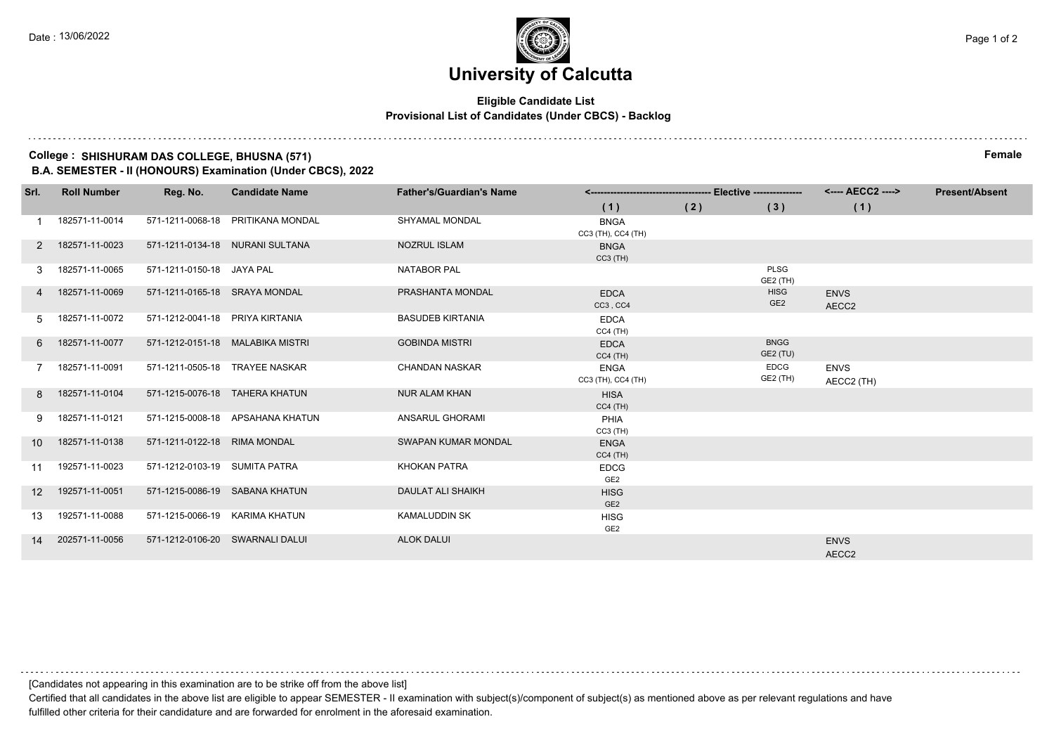## **University of Calcutta**

### **Eligible Candidate List Provisional List of Candidates (Under CBCS) - Backlog**

### **College : SHISHURAM DAS COLLEGE, BHUSNA (571) Female**

**B.A. SEMESTER - II (HONOURS) Examination (Under CBCS), 2022**

| Srl.            | <b>Roll Number</b> | Reg. No.                        | <b>Candidate Name</b>             | <b>Father's/Guardian's Name</b> |                                   |     | <---- AECC2 ---->              | <b>Present/Absent</b>            |  |
|-----------------|--------------------|---------------------------------|-----------------------------------|---------------------------------|-----------------------------------|-----|--------------------------------|----------------------------------|--|
|                 |                    |                                 |                                   |                                 | (1)                               | (2) | (3)                            | (1)                              |  |
|                 | 182571-11-0014     |                                 | 571-1211-0068-18 PRITIKANA MONDAL | SHYAMAL MONDAL                  | <b>BNGA</b><br>CC3 (TH), CC4 (TH) |     |                                |                                  |  |
| $\mathbf{2}$    | 182571-11-0023     |                                 | 571-1211-0134-18 NURANI SULTANA   | <b>NOZRUL ISLAM</b>             | <b>BNGA</b><br>$CC3$ (TH)         |     |                                |                                  |  |
| 3               | 182571-11-0065     | 571-1211-0150-18 JAYA PAL       |                                   | <b>NATABOR PAL</b>              |                                   |     | PLSG<br>GE2 (TH)               |                                  |  |
|                 | 182571-11-0069     | 571-1211-0165-18 SRAYA MONDAL   |                                   | PRASHANTA MONDAL                | <b>EDCA</b><br>CC3, CC4           |     | <b>HISG</b><br>GE <sub>2</sub> | <b>ENVS</b><br>AECC <sub>2</sub> |  |
| 5               | 182571-11-0072     | 571-1212-0041-18 PRIYA KIRTANIA |                                   | <b>BASUDEB KIRTANIA</b>         | <b>EDCA</b><br>$CC4$ (TH)         |     |                                |                                  |  |
| 6               | 182571-11-0077     |                                 | 571-1212-0151-18 MALABIKA MISTRI  | <b>GOBINDA MISTRI</b>           | <b>EDCA</b><br>$CC4$ (TH)         |     | <b>BNGG</b><br>GE2 (TU)        |                                  |  |
|                 | 182571-11-0091     |                                 | 571-1211-0505-18 TRAYEE NASKAR    | <b>CHANDAN NASKAR</b>           | <b>ENGA</b><br>CC3 (TH), CC4 (TH) |     | <b>EDCG</b><br>GE2 (TH)        | <b>ENVS</b><br>AECC2 (TH)        |  |
| 8               | 182571-11-0104     |                                 | 571-1215-0076-18 TAHERA KHATUN    | <b>NUR ALAM KHAN</b>            | <b>HISA</b><br>$CC4$ (TH)         |     |                                |                                  |  |
| 9               | 182571-11-0121     |                                 | 571-1215-0008-18 APSAHANA KHATUN  | ANSARUL GHORAMI                 | PHIA<br>$CC3$ (TH)                |     |                                |                                  |  |
| 10 <sup>1</sup> | 182571-11-0138     | 571-1211-0122-18 RIMA MONDAL    |                                   | <b>SWAPAN KUMAR MONDAL</b>      | <b>ENGA</b><br>$CC4$ (TH)         |     |                                |                                  |  |
| 11              | 192571-11-0023     | 571-1212-0103-19 SUMITA PATRA   |                                   | KHOKAN PATRA                    | <b>EDCG</b><br>GE <sub>2</sub>    |     |                                |                                  |  |
| 12              | 192571-11-0051     |                                 | 571-1215-0086-19 SABANA KHATUN    | DAULAT ALI SHAIKH               | <b>HISG</b><br>GE <sub>2</sub>    |     |                                |                                  |  |
| 13              | 192571-11-0088     | 571-1215-0066-19 KARIMA KHATUN  |                                   | <b>KAMALUDDIN SK</b>            | <b>HISG</b><br>GE <sub>2</sub>    |     |                                |                                  |  |
| 14              | 202571-11-0056     |                                 | 571-1212-0106-20 SWARNALI DALUI   | <b>ALOK DALUI</b>               |                                   |     |                                | <b>ENVS</b><br>AECC2             |  |

Certified that all candidates in the above list are eligible to appear SEMESTER - II examination with subject(s)/component of subject(s) as mentioned above as per relevant regulations and have fulfilled other criteria for their candidature and are forwarded for enrolment in the aforesaid examination.